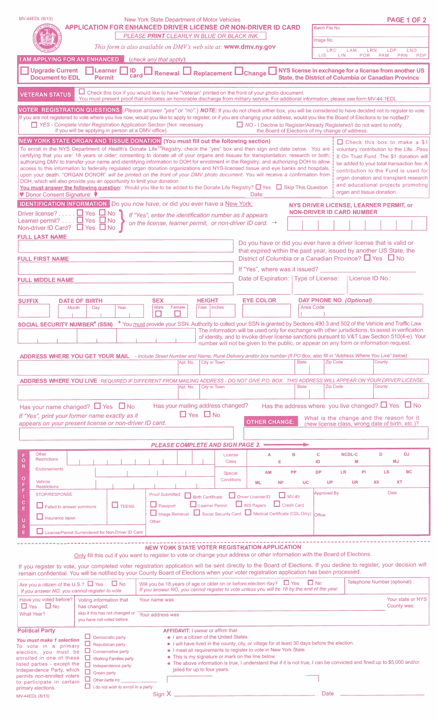| MV-44EDL (8/13)                                                                                                                                                                                                                                                                                                                                                                                                                                                                                                                                                                                                                                                                                                                                                                                                                                                                                                                                                                                                                            |                                                                                                                    |                                                     | New York State Department of Motor Vehicles                                                                                     |                      |                          |                                          |                                                                                                                                                                                                                                                                                               |              |              |                      |                 |                                                                                                                                                                                                                                                                                                                              |                                 | PAGE 1 OF 2                      |     |
|--------------------------------------------------------------------------------------------------------------------------------------------------------------------------------------------------------------------------------------------------------------------------------------------------------------------------------------------------------------------------------------------------------------------------------------------------------------------------------------------------------------------------------------------------------------------------------------------------------------------------------------------------------------------------------------------------------------------------------------------------------------------------------------------------------------------------------------------------------------------------------------------------------------------------------------------------------------------------------------------------------------------------------------------|--------------------------------------------------------------------------------------------------------------------|-----------------------------------------------------|---------------------------------------------------------------------------------------------------------------------------------|----------------------|--------------------------|------------------------------------------|-----------------------------------------------------------------------------------------------------------------------------------------------------------------------------------------------------------------------------------------------------------------------------------------------|--------------|--------------|----------------------|-----------------|------------------------------------------------------------------------------------------------------------------------------------------------------------------------------------------------------------------------------------------------------------------------------------------------------------------------------|---------------------------------|----------------------------------|-----|
|                                                                                                                                                                                                                                                                                                                                                                                                                                                                                                                                                                                                                                                                                                                                                                                                                                                                                                                                                                                                                                            | <b>APPLICATION FOR ENHANCED DRIVER LICENSE OR NON-DRIVER ID CARD</b><br>PLEASE PRINT CLEARLY IN BLUE OR BLACK INK. |                                                     |                                                                                                                                 |                      |                          |                                          | Batch File No.<br>Image No.                                                                                                                                                                                                                                                                   |              |              |                      |                 |                                                                                                                                                                                                                                                                                                                              |                                 |                                  |     |
|                                                                                                                                                                                                                                                                                                                                                                                                                                                                                                                                                                                                                                                                                                                                                                                                                                                                                                                                                                                                                                            |                                                                                                                    |                                                     | This form is also available on DMV's web site at: <b>www.dmv.ny.gov</b>                                                         |                      |                          |                                          |                                                                                                                                                                                                                                                                                               |              |              | <b>LRC</b><br>LIS.   | <b>LIN</b>      | <b>LAM</b><br><b>POR</b>                                                                                                                                                                                                                                                                                                     | LRN<br><b>LDP</b><br><b>PAM</b> | LNO<br><b>PRN</b>                | PDP |
| <b>I AM APPLYING FOR AN ENHANCED</b>                                                                                                                                                                                                                                                                                                                                                                                                                                                                                                                                                                                                                                                                                                                                                                                                                                                                                                                                                                                                       | Learner                                                                                                            |                                                     | (check any that apply):                                                                                                         |                      |                          |                                          |                                                                                                                                                                                                                                                                                               |              |              |                      |                 |                                                                                                                                                                                                                                                                                                                              |                                 |                                  |     |
| <b>Upgrade Current</b><br><b>Document to EDL</b>                                                                                                                                                                                                                                                                                                                                                                                                                                                                                                                                                                                                                                                                                                                                                                                                                                                                                                                                                                                           | <b>Permit</b>                                                                                                      |                                                     | <b>ID</b> Renewal Replacement LChange                                                                                           |                      |                          |                                          |                                                                                                                                                                                                                                                                                               |              |              |                      |                 | NYS license in exchange for a license from another US<br><b>State, the District of Columbia or Canadian Province</b>                                                                                                                                                                                                         |                                 |                                  |     |
| <b>VETERAN STATUS</b>                                                                                                                                                                                                                                                                                                                                                                                                                                                                                                                                                                                                                                                                                                                                                                                                                                                                                                                                                                                                                      |                                                                                                                    |                                                     |                                                                                                                                 |                      |                          |                                          | Check this box if you would like to have "Veteran" printed on the front of your photo document.<br>You must present proof that indicates an honorable discharge from military service. For additional information, please see form MV-44.1EDL                                                 |              |              |                      |                 |                                                                                                                                                                                                                                                                                                                              |                                 |                                  |     |
| VOTER REGISTRATION QUESTIONS (Please answer "yes" or "no".) NOTE: If you do not check either box, you will be considered to have decided not to register to vote.<br>If you are not registered to vote where you live now, would you like to apply to register, or if you are changing your address, would you like the Board of Elections to be notified?<br>□ YES - Complete Voter Registration Application Section (Not necessary                                                                                                                                                                                                                                                                                                                                                                                                                                                                                                                                                                                                       |                                                                                                                    | if you will be applying in person at a DMV office). |                                                                                                                                 |                      |                          |                                          | □ NO - I Decline to Register/Already Registered/I do not want to notify<br>the Board of Elections of my change of address.                                                                                                                                                                    |              |              |                      |                 |                                                                                                                                                                                                                                                                                                                              |                                 |                                  |     |
| NEW YORK STATE ORGAN AND TISSUE DONATION (You must fill out the following section)<br>To enroll in the NYS Department of Health's Donate Life <sup>sM</sup> Registry, check the "yes" box and then sign and date below. You are<br>certifying that you are: 18 years or older; consenting to donate all of your organs and tissues for transplantation, research or both;<br>authorizing DMV to transfer your name and identifying information to DOH for enrollment in the Registry; and authorizing DOH to allow<br>access to this information to federally regulated organ donation organizations and NYS-licensed tissue and eye banks and hospitals,<br>upon your death. "ORGAN DONOR" will be printed on the front of your DMV photo document. You will receive a confirmation from<br>DOH, which will also provide you an opportunity to limit your donation.<br>You must answer the following question: Would you like to be added to the Donate Life Registry? $\Box$ Yes $\Box$ Skip This Question<br>♥ Donor Consent Signature: |                                                                                                                    |                                                     |                                                                                                                                 |                      |                          |                                          | Date:                                                                                                                                                                                                                                                                                         |              |              |                      |                 | $\Box$ Check this box to make a \$1<br>voluntary contribution to the Life Pass<br>It On Trust Fund. The \$1 donation will<br>be added to your total transaction fee. A<br>contribution to the Fund is used for<br>organ donation and transplant research<br>and educational projects promoting<br>organ and tissue donation. |                                 |                                  |     |
| <b>IDENTIFICATION INFORMATION</b> Do you now have, or did you ever have a New York:                                                                                                                                                                                                                                                                                                                                                                                                                                                                                                                                                                                                                                                                                                                                                                                                                                                                                                                                                        |                                                                                                                    |                                                     |                                                                                                                                 |                      |                          |                                          |                                                                                                                                                                                                                                                                                               |              |              |                      |                 | NYS DRIVER LICENSE, LEARNER PERMIT, or<br><b>NON-DRIVER ID CARD NUMBER</b>                                                                                                                                                                                                                                                   |                                 |                                  |     |
| Driver license? □ Yes □ No 】<br>Learner permit? □ Yes □ No<br>Non-driver ID Card? $\Box$ Yes $\Box$ No                                                                                                                                                                                                                                                                                                                                                                                                                                                                                                                                                                                                                                                                                                                                                                                                                                                                                                                                     |                                                                                                                    |                                                     | If "Yes", enter the identification number as it appears<br>on the license, learner permit, or non-driver ID card. $\rightarrow$ |                      |                          |                                          |                                                                                                                                                                                                                                                                                               |              |              |                      |                 |                                                                                                                                                                                                                                                                                                                              |                                 |                                  |     |
| <b>FULL LAST NAME</b>                                                                                                                                                                                                                                                                                                                                                                                                                                                                                                                                                                                                                                                                                                                                                                                                                                                                                                                                                                                                                      |                                                                                                                    |                                                     |                                                                                                                                 |                      |                          |                                          | Do you have or did you ever have a driver license that is valid or                                                                                                                                                                                                                            |              |              |                      |                 |                                                                                                                                                                                                                                                                                                                              |                                 |                                  |     |
| <b>FULL FIRST NAME</b>                                                                                                                                                                                                                                                                                                                                                                                                                                                                                                                                                                                                                                                                                                                                                                                                                                                                                                                                                                                                                     |                                                                                                                    |                                                     |                                                                                                                                 |                      |                          |                                          | that expired within the past year, issued by another US State, the<br>District of Columbia or a Canadian Province? $\Box$ Yes $\Box$ No                                                                                                                                                       |              |              |                      |                 |                                                                                                                                                                                                                                                                                                                              |                                 |                                  |     |
|                                                                                                                                                                                                                                                                                                                                                                                                                                                                                                                                                                                                                                                                                                                                                                                                                                                                                                                                                                                                                                            |                                                                                                                    |                                                     |                                                                                                                                 |                      |                          |                                          | If "Yes", where was it issued?                                                                                                                                                                                                                                                                |              |              |                      |                 |                                                                                                                                                                                                                                                                                                                              |                                 |                                  |     |
| <b>FULL MIDDLE NAME</b>                                                                                                                                                                                                                                                                                                                                                                                                                                                                                                                                                                                                                                                                                                                                                                                                                                                                                                                                                                                                                    |                                                                                                                    |                                                     |                                                                                                                                 |                      |                          |                                          | Date of Expiration: Type of License:                                                                                                                                                                                                                                                          |              |              |                      |                 | License ID No.:                                                                                                                                                                                                                                                                                                              |                                 |                                  |     |
| <b>SUFFIX</b>                                                                                                                                                                                                                                                                                                                                                                                                                                                                                                                                                                                                                                                                                                                                                                                                                                                                                                                                                                                                                              | <b>DATE OF BIRTH</b>                                                                                               |                                                     | <b>SEX</b>                                                                                                                      |                      | <b>HEIGHT</b>            |                                          | <b>EYE COLOR</b>                                                                                                                                                                                                                                                                              |              |              |                      |                 | <b>DAY PHONE NO. (Optional)</b>                                                                                                                                                                                                                                                                                              |                                 |                                  |     |
|                                                                                                                                                                                                                                                                                                                                                                                                                                                                                                                                                                                                                                                                                                                                                                                                                                                                                                                                                                                                                                            | Month<br>Day                                                                                                       | Year                                                | Male<br>□                                                                                                                       | Female               | Feet   Inches            |                                          |                                                                                                                                                                                                                                                                                               |              | Area Code    |                      |                 |                                                                                                                                                                                                                                                                                                                              |                                 |                                  |     |
| SOCIAL SECURITY NUMBER* (SSN) * You must provide your SSN. Authority to collect your SSN is granted by Sections 490.3 and 502 of the Vehicle and Traffic Law.<br>ADDRESS WHERE YOU GET YOUR MAIL - Include Street Number and Name, Rural Delivery and/or box number (If PO Box, also fill in "Address Where You Live" below)                                                                                                                                                                                                                                                                                                                                                                                                                                                                                                                                                                                                                                                                                                               |                                                                                                                    |                                                     |                                                                                                                                 | Apt. No.             |                          | City or Town                             | The information will be used only for exchange with other jurisdictions, to assist in verification<br>of identity, and to invoke driver license sanctions pursuant to V&T Law Section 510(4-e). Your<br>number will not be given to the public, or appear on any form or information request. |              | <b>State</b> |                      | <b>Zip Code</b> |                                                                                                                                                                                                                                                                                                                              | County                          |                                  |     |
| ADDRESS WHERE YOU LIVE REQUIRED IF DIFFERENT FROM MAILING ADDRESS - DO NOT GIVE P.O. BOX. THIS ADDRESS WILL APPEAR ON YOUR DRIVER LICENSE                                                                                                                                                                                                                                                                                                                                                                                                                                                                                                                                                                                                                                                                                                                                                                                                                                                                                                  |                                                                                                                    |                                                     |                                                                                                                                 | Apt. No.             |                          | <b>City or Town</b>                      |                                                                                                                                                                                                                                                                                               |              | <b>State</b> |                      | Zip Code        |                                                                                                                                                                                                                                                                                                                              | County                          |                                  |     |
| Has your name changed? $\Box$ Yes $\Box$ No<br>If "Yes", print your former name exactly as it<br>appears on your present license or non-driver ID card.                                                                                                                                                                                                                                                                                                                                                                                                                                                                                                                                                                                                                                                                                                                                                                                                                                                                                    |                                                                                                                    |                                                     |                                                                                                                                 | $\Box$ Yes $\Box$ No |                          | Has your mailing address changed?        | Has the address where you live changed? $\Box$ Yes $\Box$ No<br><b>OTHER CHANGE:</b>                                                                                                                                                                                                          |              |              |                      |                 | What is the change and the reason for it<br>(new license class, wrong date of birth, etc.)?                                                                                                                                                                                                                                  |                                 |                                  |     |
|                                                                                                                                                                                                                                                                                                                                                                                                                                                                                                                                                                                                                                                                                                                                                                                                                                                                                                                                                                                                                                            |                                                                                                                    |                                                     | <b>PLEASE COMPLETE AND SIGN PAGE 2.</b>                                                                                         |                      |                          |                                          |                                                                                                                                                                                                                                                                                               |              |              |                      |                 |                                                                                                                                                                                                                                                                                                                              |                                 |                                  |     |
| Other<br><b>Restrictions</b><br>$\overline{O}$<br>R<br>Endorsements                                                                                                                                                                                                                                                                                                                                                                                                                                                                                                                                                                                                                                                                                                                                                                                                                                                                                                                                                                        |                                                                                                                    |                                                     |                                                                                                                                 |                      |                          | License<br>Class<br>Special              | A<br>Е<br>AM                                                                                                                                                                                                                                                                                  | в<br>PP      |              | c<br>ID<br><b>DP</b> | LR              | <b>NCDL-C</b><br>M<br>PI                                                                                                                                                                                                                                                                                                     | D<br><b>LS</b>                  | <b>DJ</b><br><b>MJ</b><br>BC     |     |
| o<br>Vehicle<br>F<br><b>Restrictions</b>                                                                                                                                                                                                                                                                                                                                                                                                                                                                                                                                                                                                                                                                                                                                                                                                                                                                                                                                                                                                   |                                                                                                                    |                                                     |                                                                                                                                 |                      |                          | Conditions                               | <b>ML</b><br><b>NF</b>                                                                                                                                                                                                                                                                        |              | <b>UC</b>    | UP                   |                 | <b>UR</b>                                                                                                                                                                                                                                                                                                                    | X8                              | XT                               |     |
| STOP/RESPONSE<br>с<br>Failed to answer summons<br>Ė<br>Insurance lapse<br>Ū<br>S                                                                                                                                                                                                                                                                                                                                                                                                                                                                                                                                                                                                                                                                                                                                                                                                                                                                                                                                                           |                                                                                                                    | $\Box$ TEENS                                        | Proof Submitted:<br>$\Box$ Passport<br>Other:                                                                                   |                      | $\Box$ Birth Certificate | Learner Permit                           | Driver License/ID<br>INS Papers<br><b>L</b> Credit Card<br>Image Retrieval Social Security Card Medical Certificate (CDL Only) Office                                                                                                                                                         | $\Box$ MV-45 |              | <b>Approved By</b>   |                 |                                                                                                                                                                                                                                                                                                                              |                                 | <b>Date</b>                      |     |
| E                                                                                                                                                                                                                                                                                                                                                                                                                                                                                                                                                                                                                                                                                                                                                                                                                                                                                                                                                                                                                                          |                                                                                                                    | License/Permit Surrendered for Non-Driver ID Card   |                                                                                                                                 |                      |                          |                                          |                                                                                                                                                                                                                                                                                               |              |              |                      |                 |                                                                                                                                                                                                                                                                                                                              |                                 |                                  |     |
|                                                                                                                                                                                                                                                                                                                                                                                                                                                                                                                                                                                                                                                                                                                                                                                                                                                                                                                                                                                                                                            |                                                                                                                    |                                                     |                                                                                                                                 |                      |                          |                                          | NEW YORK STATE VOTER REGISTRATION APPLICATION<br>Only fill this out if you want to register to vote or change your address or other information with the Board of Elections.                                                                                                                  |              |              |                      |                 |                                                                                                                                                                                                                                                                                                                              |                                 |                                  |     |
| If you register to vote, your completed voter registration application will be sent directly to the Board of Elections. If you decline to register, your decision will<br>remain confidential. You will be notified by your County Board of Elections when your voter registration application has been processed.                                                                                                                                                                                                                                                                                                                                                                                                                                                                                                                                                                                                                                                                                                                         |                                                                                                                    |                                                     |                                                                                                                                 |                      |                          |                                          |                                                                                                                                                                                                                                                                                               |              |              |                      |                 |                                                                                                                                                                                                                                                                                                                              |                                 |                                  |     |
| Are you a citizen of the U.S.? $\Box$ Yes<br>If you answer NO, you cannot register to vote                                                                                                                                                                                                                                                                                                                                                                                                                                                                                                                                                                                                                                                                                                                                                                                                                                                                                                                                                 |                                                                                                                    | $\Box$ No                                           |                                                                                                                                 |                      |                          |                                          | Will you be 18 years of age or older on or before election day? $\square$ Yes<br>If you answer NO, you cannot register to vote unless you will be 18 by the end of the year.                                                                                                                  |              | $\Box$ No    |                      |                 | Telephone Number (optional)                                                                                                                                                                                                                                                                                                  |                                 |                                  |     |
| Have you voted before?<br>$\Box$ No<br>$\Box$ Yes<br><b>What Year?</b>                                                                                                                                                                                                                                                                                                                                                                                                                                                                                                                                                                                                                                                                                                                                                                                                                                                                                                                                                                     | Voting information that<br>has changed:                                                                            | skip if this has not changed or                     | Your name was<br>Your address was                                                                                               |                      |                          |                                          |                                                                                                                                                                                                                                                                                               |              |              |                      |                 |                                                                                                                                                                                                                                                                                                                              |                                 | Your state or NYS<br>County was: |     |
| <b>Political Party</b>                                                                                                                                                                                                                                                                                                                                                                                                                                                                                                                                                                                                                                                                                                                                                                                                                                                                                                                                                                                                                     | you have not voted before                                                                                          |                                                     |                                                                                                                                 |                      |                          | <b>AFFIDAVIT: I swear or affirm that</b> |                                                                                                                                                                                                                                                                                               |              |              |                      |                 |                                                                                                                                                                                                                                                                                                                              |                                 |                                  |     |
| You must make 1 selection<br>To vote in a primary<br>election, you must be<br>enrolled in one of these $\Box$ Working Families party                                                                                                                                                                                                                                                                                                                                                                                                                                                                                                                                                                                                                                                                                                                                                                                                                                                                                                       | $\Box$ Democratic party<br>$\Box$ Republican party                                                                 | Conservative party                                  |                                                                                                                                 |                      |                          | . I am a citizen of the United States.   | • I will have lived in the county, city, or village for at least 30 days before the election.<br>• I meet all requirements to register to vote in New York State.<br>• This is my signature or mark on the line below.                                                                        |              |              |                      |                 |                                                                                                                                                                                                                                                                                                                              |                                 |                                  |     |

| TO VOIC III a primary<br>election, you must be $\Box$ Conservative party<br>enrolled in one of these $\Box$ Working Families party<br>listed parties - except the $\Box$ Independence party<br>Independence Party, which<br>permits non-enrolled voters<br>to participate in certain<br>primary elections. | Green party<br>$\Box$ Other (write in)<br>$\Box$ I do not wish to enroll in a party | • I meet all requirements to register to vote in New York State.<br>• This is my signature or mark on the line below.<br>• The above information is true, I understand that if it is not true, I can be convicted and fined up to \$5,000 and/or<br>jailed for up to four years. |
|------------------------------------------------------------------------------------------------------------------------------------------------------------------------------------------------------------------------------------------------------------------------------------------------------------|-------------------------------------------------------------------------------------|----------------------------------------------------------------------------------------------------------------------------------------------------------------------------------------------------------------------------------------------------------------------------------|
|                                                                                                                                                                                                                                                                                                            | Sign $\bm{\mathsf{X}}$                                                              | Date                                                                                                                                                                                                                                                                             |
| MV-44EDL (8/13)                                                                                                                                                                                                                                                                                            |                                                                                     |                                                                                                                                                                                                                                                                                  |

| . . | $\sim$ $\sim$ $\sim$ |  |      |  |
|-----|----------------------|--|------|--|
|     |                      |  |      |  |
|     |                      |  | 17 H |  |